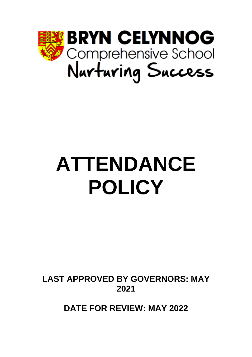

# **ATTENDANCE POLICY**

**LAST APPROVED BY GOVERNORS: MAY 2021**

**DATE FOR REVIEW: MAY 2022**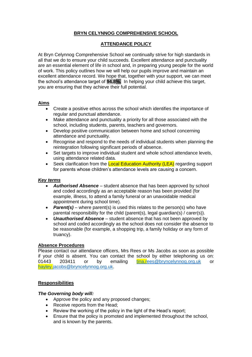# **BRYN CELYNNOG COMPREHENSIVE SCHOOL**

# **ATTENDANCE POLICY**

At Bryn Celynnog Comprehensive School we continually strive for high standards in all that we do to ensure your child succeeds. Excellent attendance and punctuality are an essential element of life in school and, in preparing young people for the world of work. This policy outlines how we will help our pupils improve and maintain an excellent attendance record. We hope that, together with your support, we can meet the school's attendance target of **94.8%.** In helping your child achieve this target, you are ensuring that they achieve their full potential.

# **Aims**

- Create a positive ethos across the school which identifies the importance of regular and punctual attendance.
- Make attendance and punctuality a priority for all those associated with the school, including students, parents, teachers and governors.
- Develop positive communication between home and school concerning attendance and punctuality.
- Recognise and respond to the needs of individual students when planning the reintegration following significant periods of absence.
- Set targets to improve individual student and whole school attendance levels, using attendance related data.
- Seek clarification from the Local Education Authority (LEA) regarding support for parents whose children's attendance levels are causing a concern.

# *Key terms*

- *Authorised Absence* student absence that has been approved by school and coded accordingly as an acceptable reason has been provided (for example, illness, to attend a family funeral or an unavoidable medical appointment during school time).
- *Parent(s)* where parent(s) is used this relates to the person(s) who have parental responsibility for the child (parent(s), legal guardian(s) / carer(s)).
- *Unauthorised Absence* student absence that has not been approved by school and coded accordingly as the school does not consider the absence to be reasonable (for example, a shopping trip, a family holiday or any form of truancy).

# **Absence Procedures**

Please contact our attendance officers, Mrs Rees or Ms Jacobs as soon as possible if your child is absent. You can contact the school by either telephoning us on: 203411 or by emailing [tina.rees@bryncelynnog.org.uk](mailto:trees@bryncelynnog.org.uk) or [hayley.jacobs@bryncelynnog.org.uk.](mailto:hjacobs@bryncelynnog.org.uk)

# **Responsibilities**

# *The Governing body will:*

- Approve the policy and any proposed changes;
- Receive reports from the Head;
- Review the working of the policy in the light of the Head's report;
- Ensure that the policy is promoted and implemented throughout the school, and is known by the parents.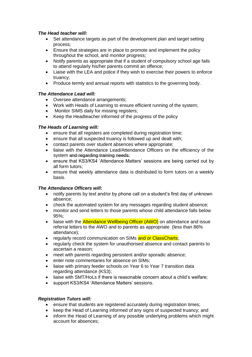# *The Head teacher will:*

- Set attendance targets as part of the development plan and target setting process;
- Ensure that strategies are in place to promote and implement the policy throughout the school, and monitor progress;
- Notify parents as appropriate that if a student of compulsory school age fails to attend regularly his/her parents commit an offence;
- Liaise with the LEA and police if they wish to exercise their powers to enforce truancy;
- Produce termly and annual reports with statistics to the governing body.

# *The Attendance Lead will:*

- Oversee attendance arrangements;
- Work with Heads of Learning to ensure efficient running of the system;
- Monitor SIMS daily for missing registers;
- Keep the Headteacher informed of the progress of the policy

# *The Heads of Learning will:*

- ensure that all registers are completed during registration time:
- ensure that all suspected truancy is followed up and dealt with;
- contact parents over student absences where appropriate;
- liaise with the Attendance Lead/Attendance Officers on the efficiency of the system and regarding training needs;
- ensure that KS3/KS4 'Attendance Matters' sessions are being carried out by all form tutors;
- ensure that weekly attendance data is distributed to form tutors on a weekly basis.

# *The Attendance Officers will:*

- notify parents by text and/or by phone call on a student's first day of unknown absence;
- check the automated system for any messages regarding student absence;
- monitor and send letters to those parents whose child attendance falls below 95%;
- liaise with the **Attendance Wellbeing Officer (AWO)** on attendance and issue referral letters to the AWO and to parents as appropriate (less than 86% attendance);
- regularly record communication on SIMs and or ClassCharts;
- regularly check the system for unauthorised absence and contact parents to ascertain a reason;
- meet with parents regarding persistent and/or sporadic absence;
- enter note commentaries for absence on SIMs:
- liaise with primary feeder schools on Year 6 to Year 7 transition data regarding attendance (KS3);
- liaise with SMT/HoLs if there is reasonable concern about a child's welfare;
- support KS3/KS4 'Attendance Matters' sessions.

# *Registration Tutors will:*

- ensure that students are registered accurately during registration times:
- keep the Head of Learning informed of any signs of suspected truancy; and
- inform the Head of Learning of any possible underlying problems which might account for absences;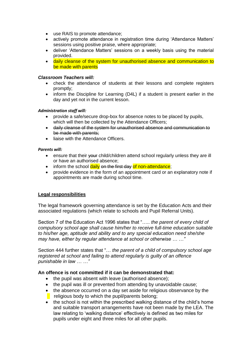- use RAIS to promote attendance;
- actively promote attendance in registration time during 'Attendance Matters' sessions using positive praise, where appropriate;
- deliver 'Attendance Matters' sessions on a weekly basis using the material provided.
- daily cleanse of the system for unauthorised absence and communication to be made with parents

#### *Classroom Teachers will:*

- check the attendance of students at their lessons and complete registers promptly;
- inform the Discipline for Learning (D4L) if a student is present earlier in the day and yet not in the current lesson.

#### *Administration staff will:*

- provide a safe/secure drop-box for absence notes to be placed by pupils, which will then be collected by the Attendance Officers;
- daily cleanse of the system for unauthorised absence and communication to be made with parents;
- liaise with the Attendance Officers.

#### *Parents will:*

- ensure that their vour child/children attend school regularly unless they are ill or have an authorised absence;
- inform the school daily on the first day of non-attendance;
- provide evidence in the form of an appointment card or an explanatory note if appointments are made during school time.

# **Legal responsibilities**

The legal framework governing attendance is set by the Education Acts and their associated regulations (which relate to schools and Pupil Referral Units).

Section 7 of the Education Act 1996 states that "….. *the parent of every child of compulsory school age shall cause him/her to receive full-time education suitable to his/her age, aptitude and ability and to any special education need she/she may have, either by regular attendance at school or otherwise … …"* 

Section 444 further states that "… *the parent of a child of compulsory school age registered at school and failing to attend regularly is guilty of an offence punishable in law … …"* 

# **An offence is not committed if it can be demonstrated that:**

- the pupil was absent with leave (authorised absence);
- the pupil was ill or prevented from attending by unavoidable cause;
- the absence occurred on a day set aside for religious observance by the  $\blacksquare$  religious body to which the pupil/parents belong;
- the school is not within the prescribed walking distance of the child's home and suitable transport arrangements have not been made by the LEA. The law relating to 'walking distance' effectively is defined as two miles for pupils under eight and three miles for all other pupils.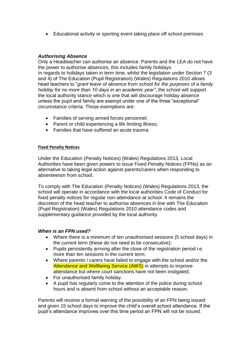• Educational activity or sporting event taking place off school premises

# *Authorising Absence*

Only a Headteacher can authorise an absence. Parents and the LEA do not have the power to authorise absences, this includes family holidays. In regards to holidays taken in term time, whilst the legislation under Section 7 (3 and 4) of The Education (Pupil Registration) (Wales) Regulations 2010 allows head teachers to "*grant leave of absence from school for the purposes of a family holiday for no more than 10 days in an academic year"*, the school will support the local authority stance which is one that will discourage holiday absence unless the pupil and family are exempt under one of the three "exceptional" circumstance criteria. Those exemptions are:

- Families of serving armed forces personnel;
- Parent or child experiencing a life limiting illness;
- Families that have suffered an acute trauma.

# **Fixed Penalty Notices**

Under the Education (Penalty Notices) (Wales) Regulations 2013, Local Authorities have been given powers to issue Fixed Penalty Notices (FPNs) as an alternative to taking legal action against parents/carers when responding to absenteeism from school.

To comply with The Education (Penalty Notices) (Wales) Regulations 2013, the school will operate in accordance with the local authorities Code of Conduct for fixed penalty notices for regular non-attendance at school. It remains the discretion of the head teacher to authorise absences in line with The Education (Pupil Registration) (Wales) Regulations 2010 attendance codes and supplementary guidance provided by the local authority.

# *When is an FPN used?*

- Where there is a minimum of ten unauthorised sessions (5 school days) in the current term (these do not need to be consecutive);
- Pupils persistently arriving after the close of the registration period i.e. more than ten sessions in the current term;
- Where parents / carers have failed to engage with the school and/or the Attendance and Wellbeing Service (AWS) in attempts to improve attendance but where court sanctions have not been instigated;
- For unauthorised family holiday.
- A pupil has regularly come to the attention of the police during school hours and is absent from school without an acceptable reason.

Parents will receive a formal warning of the possibility of an FPN being issued and given 15 school days to improve the child's overall school attendance. If the pupil's attendance improves over this time period an FPN will not be issued.